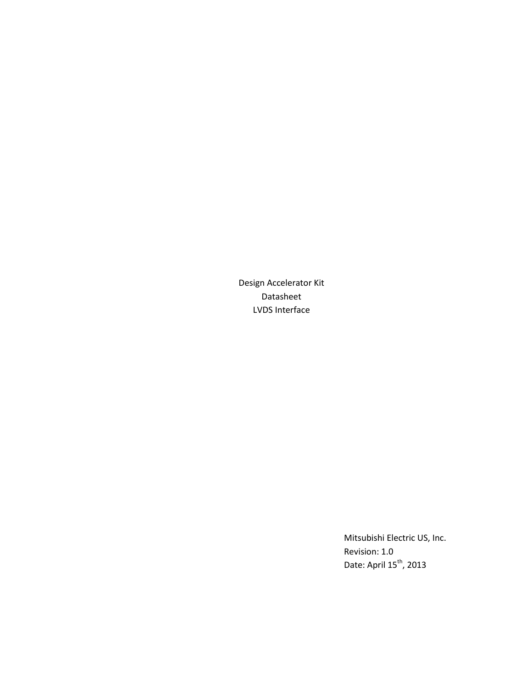Design Accelerator Kit Datasheet LVDS Interface

> Mitsubishi Electric US, Inc. Revision: 1.0 Date: April  $15^{th}$ , 2013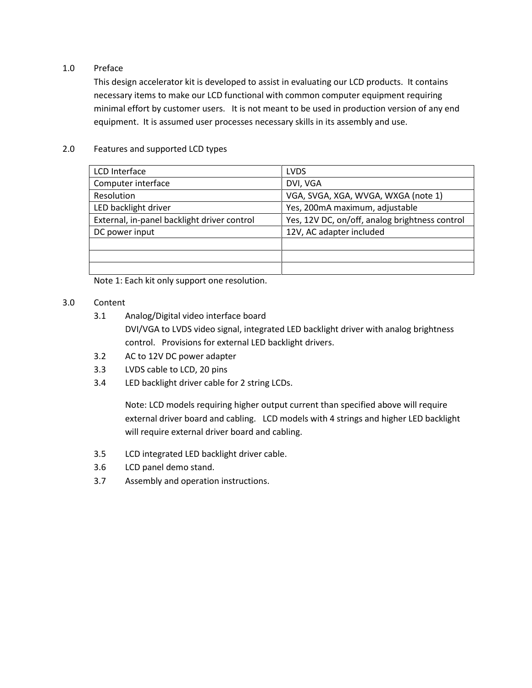## 1.0 Preface

This design accelerator kit is developed to assist in evaluating our LCD products. It contains necessary items to make our LCD functional with common computer equipment requiring minimal effort by customer users. It is not meant to be used in production version of any end equipment. It is assumed user processes necessary skills in its assembly and use.

## 2.0 Features and supported LCD types

| <b>LVDS</b>                                    |
|------------------------------------------------|
| DVI, VGA                                       |
| VGA, SVGA, XGA, WVGA, WXGA (note 1)            |
| Yes, 200mA maximum, adjustable                 |
| Yes, 12V DC, on/off, analog brightness control |
| 12V, AC adapter included                       |
|                                                |
|                                                |
|                                                |
|                                                |

Note 1: Each kit only support one resolution.

## 3.0 Content

- 3.1 Analog/Digital video interface board DVI/VGA to LVDS video signal, integrated LED backlight driver with analog brightness control. Provisions for external LED backlight drivers.
- 3.2 AC to 12V DC power adapter
- 3.3 LVDS cable to LCD, 20 pins
- 3.4 LED backlight driver cable for 2 string LCDs.

Note: LCD models requiring higher output current than specified above will require external driver board and cabling. LCD models with 4 strings and higher LED backlight will require external driver board and cabling.

- 3.5 LCD integrated LED backlight driver cable.
- 3.6 LCD panel demo stand.
- 3.7 Assembly and operation instructions.